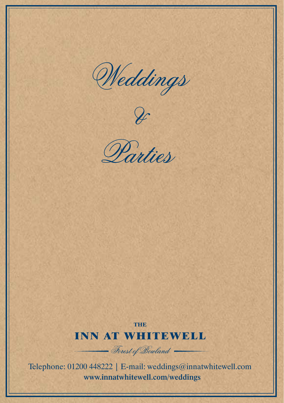Weddings

&



**THE INN AT WHITEWELL**

- Forest of Bowland

Telephone: 01200 448222 | E-mail: weddings@innatwhitewell.com **www.innatwhitewell.com/weddings**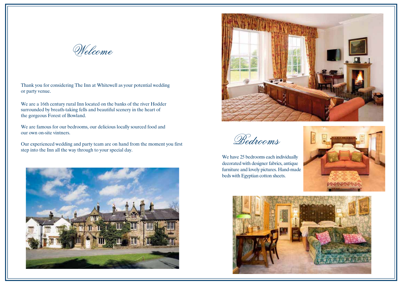Welcome

Thank you for considering The Inn at Whitewell as your potential wedding or party venue.

We are a 16th century rural Inn located on the banks of the river Hodder surrounded by breath-taking fells and beautiful scenery in the heart of the gorgeous Forest of Bowland.

We are famous for our bedrooms, our delicious locally sourced food and our own on-site vintners.

Our experienced wedding and party team are on hand from the moment you first step into the Inn all the way through to your special day.





Bedrooms

We have 25 bedrooms each individually decorated with designer fabrics, antique furniture and lovely pictures. Hand-made beds with Egyptian cotton sheets.



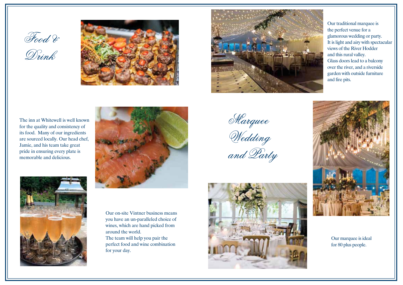Food &

Drink





Our traditional marquee is the perfect venue for a glamorous wedding or party. It is light and airy with spectacular views of the River Hodder and this rural valley. Glass doors lead to a balcony over the river, and a riverside garden with outside furniture and fire pits.

The inn at Whitewell is well known for the quality and consistency of its food. Many of our ingredients are sourced locally. Our head chef, Jamie, and his team take great pride in ensuring every plate is memorable and delicious.





Our on-site Vintner business means you have an un-paralleled choice of wines, which are hand picked from around the world. The team will help you pair the perfect food and wine combination for your day.

Marquee Wedding and Party





Our marquee is ideal for 80 plus people.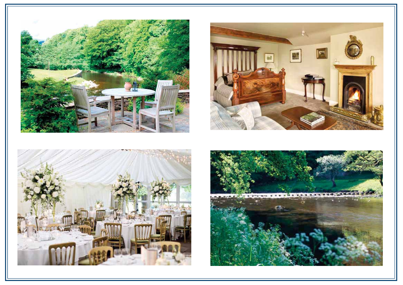





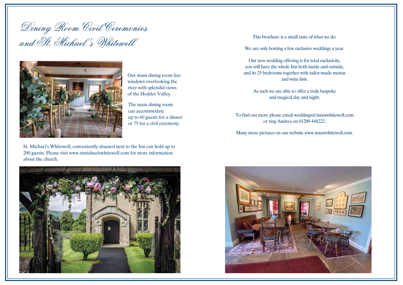Welcome Dining Room Civil Ceremonies  $and \; \mathscr{R}.$  Michael's Whitewell This brochure is a small taste of what we do.



Our main dining room has windows overlooking the of the Hodder Valley.

up to 60 guests for a dinner or 75 for a civil ceremony.

St. Michael's Whitewell, conveniently situated next to the Inn can hold up to step into the Inn all the way through to your special day. 200 guests. Please visit www.stmichaelswhitewell.com for more information about the church.

We are only hosting a few exclusive weddings a year.

Our new wedding offering is for total exclusivity, you will have the whole Inn both inside and outside, and its 25 bedrooms together with tailor-made menus and wine lists.

As such we are able to offer a truly bespoke and magical day and night.

To find out more please email weddings@innatwhitewell.com or ring Andrea on 01200 448222.

many more pietares on Many more pictures on our website www.innatwhitewell.com.



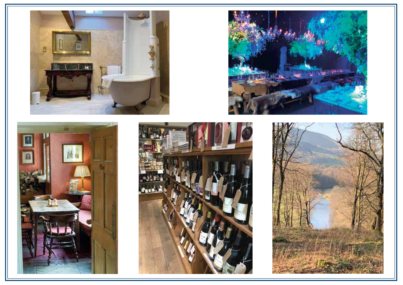